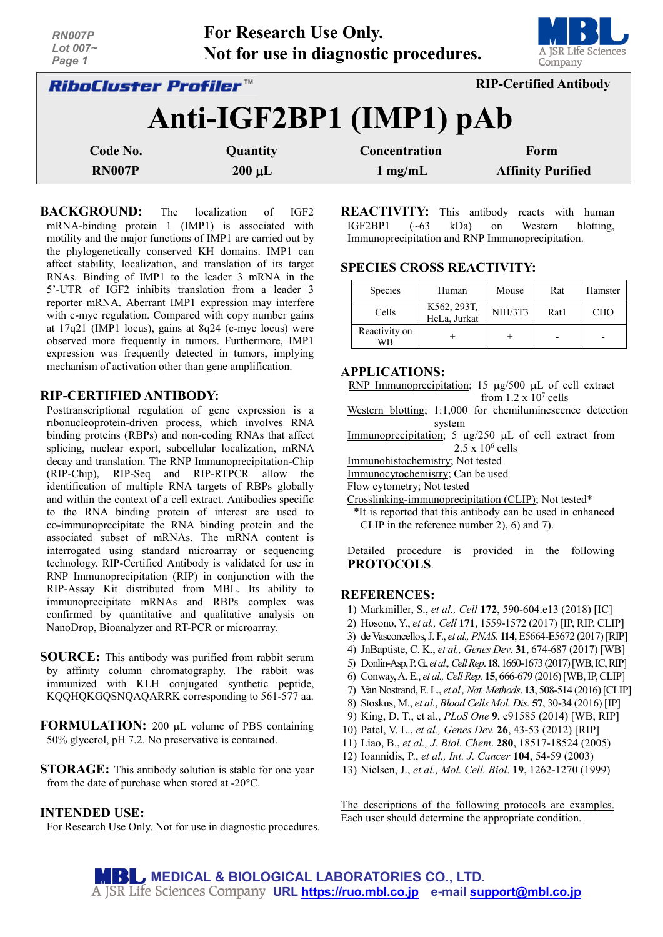| RN007P<br>Lot 007~<br>Page 1        | For Research Use Only. | Not for use in diagnostic procedures. | A JSR Life Sciences<br>Company |
|-------------------------------------|------------------------|---------------------------------------|--------------------------------|
| <i><b>RiboCluster Profiler™</b></i> |                        |                                       | <b>RIP-Certified Antibody</b>  |
|                                     |                        | Anti-IGF2BP1 (IMP1) pAb               |                                |
| Code No.                            | Quantity               | Concentration                         | Form                           |
| <b>RN007P</b>                       | $200 \mu L$            | $1 \text{ mg/mL}$                     | <b>Affinity Purified</b>       |

**BACKGROUND:** The localization of IGF2 mRNA-binding protein 1 (IMP1) is associated with motility and the major functions of IMP1 are carried out by the phylogenetically conserved KH domains. IMP1 can affect stability, localization, and translation of its target RNAs. Binding of IMP1 to the leader 3 mRNA in the 5'-UTR of IGF2 inhibits translation from a leader 3 reporter mRNA. Aberrant IMP1 expression may interfere with c-myc regulation. Compared with copy number gains at 17q21 (IMP1 locus), gains at 8q24 (c-myc locus) were observed more frequently in tumors. Furthermore, IMP1 expression was frequently detected in tumors, implying mechanism of activation other than gene amplification.

#### **RIP-CERTIFIED ANTIBODY:**

Posttranscriptional regulation of gene expression is a ribonucleoprotein-driven process, which involves RNA binding proteins (RBPs) and non-coding RNAs that affect splicing, nuclear export, subcellular localization, mRNA decay and translation. The RNP Immunoprecipitation-Chip (RIP-Chip), RIP-Seq and RIP-RTPCR allow the identification of multiple RNA targets of RBPs globally and within the context of a cell extract. Antibodies specific to the RNA binding protein of interest are used to co-immunoprecipitate the RNA binding protein and the associated subset of mRNAs. The mRNA content is interrogated using standard microarray or sequencing technology. RIP-Certified Antibody is validated for use in RNP Immunoprecipitation (RIP) in conjunction with the RIP-Assay Kit distributed from MBL. Its ability to immunoprecipitate mRNAs and RBPs complex was confirmed by quantitative and qualitative analysis on NanoDrop, Bioanalyzer and RT-PCR or microarray.

- **SOURCE:** This antibody was purified from rabbit serum by affinity column chromatography. The rabbit was immunized with KLH conjugated synthetic peptide, KQQHQKGQSNQAQARRK corresponding to 561-577 aa.
- **FORMULATION:** 200 µL volume of PBS containing 50% glycerol, pH 7.2. No preservative is contained.
- **STORAGE:** This antibody solution is stable for one year from the date of purchase when stored at -20°C.

### **INTENDED USE:**

For Research Use Only. Not for use in diagnostic procedures.

**REACTIVITY:** This antibody reacts with human IGF2BP1 (~63 kDa) on Western blotting, Immunoprecipitation and RNP Immunoprecipitation.

## **SPECIES CROSS REACTIVITY:**

| Species             | Human                       | Mouse          | Rat  | Hamster    |
|---------------------|-----------------------------|----------------|------|------------|
| Cells               | K562, 293T,<br>HeLa, Jurkat | <b>NIH/3T3</b> | Rat1 | <b>CHO</b> |
| Reactivity on<br>WB |                             |                |      |            |

#### **APPLICATIONS:**

RNP Immunoprecipitation; 15 µg/500 µL of cell extract from  $1.2 \times 10^7$  cells

Western blotting; 1:1,000 for chemiluminescence detection system

Immunoprecipitation; 5  $\mu$ g/250  $\mu$ L of cell extract from  $2.5 \times 10^6$  cells

Immunohistochemistry; Not tested

Immunocytochemistry; Can be used

Flow cytometry; Not tested

Crosslinking-immunoprecipitation (CLIP); Not tested\*

\*It is reported that this antibody can be used in enhanced CLIP in the reference number 2), 6) and 7).

Detailed procedure is provided in the following **PROTOCOLS**.

#### **REFERENCES:**

- 1) Markmiller, S., *et al., Cell* **172**, 590-604.e13 (2018) [IC]
- 2) Hosono, Y., *et al., Cell* **171**, 1559-1572 (2017) [IP, RIP, CLIP]
- 3) de Vasconcellos,J. F., *et al., PNAS*. **114**, E5664-E5672 (2017)[RIP]
- 4) JnBaptiste, C. K., *et al., Genes Dev*. **31**, 674-687 (2017) [WB]
- 5) Donlin-Asp,P. G., *et al.,Cell Rep*. **18**, 1660-1673 (2017)[WB, IC, RIP]
- 6) Conway,A. E., *et al., Cell Rep.* **15**, 666-679 (2016) [WB, IP, CLIP]
- 7) Van Nostrand,E. L., *et al., Nat. Methods*. **13**, 508-514 (2016)[CLIP]
- 8) Stoskus, M., *et al.*, *Blood Cells Mol. Dis.* **57**, 30-34 (2016) [IP]
- 9) King, D. T., et al., *PLoS One* **9**, e91585 (2014) [WB, RIP]
- 10) Patel, V. L., *et al., Genes Dev.* **26**, 43-53 (2012) [RIP]
- 11) Liao, B., *et al., J. Biol. Chem*. **280**, 18517-18524 (2005)
- 12) Ioannidis, P., *et al., Int. J. Cancer* **104**, 54-59 (2003)
- 13) Nielsen, J., *et al., Mol. Cell. Biol*. **19**, 1262-1270 (1999)

The descriptions of the following protocols are examples. Each user should determine the appropriate condition.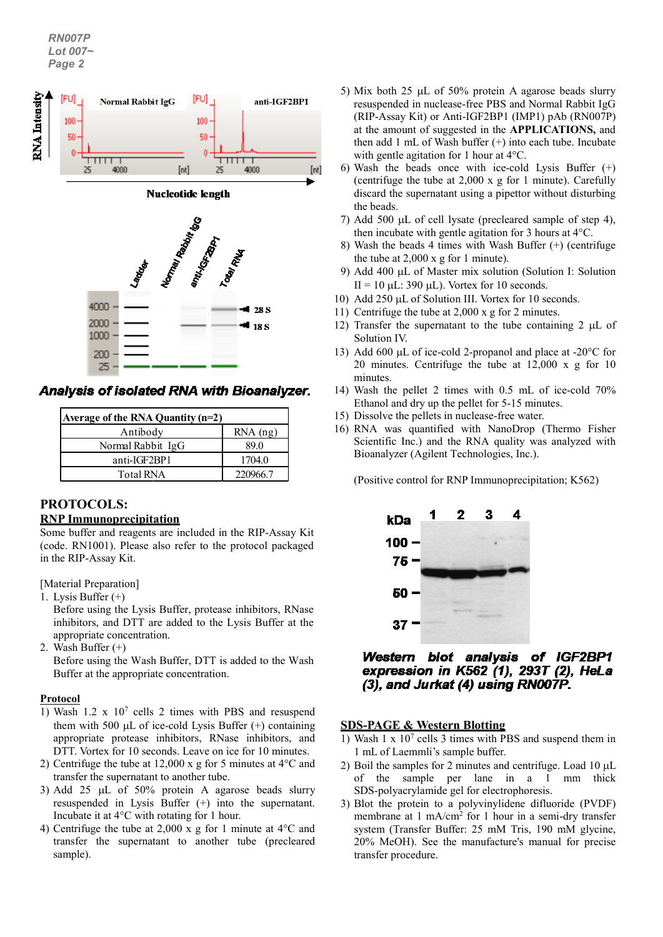*RN007P Lot 007~ Page 2*



**Analysis of isolated RNA with Bioanalyzer.** 

| Average of the RNA Quantity $(n=2)$ |            |  |  |  |
|-------------------------------------|------------|--|--|--|
| Antibody                            | $RNA$ (ng) |  |  |  |
| Normal Rabbit IgG                   | 89.0       |  |  |  |
| anti-IGF2BP1                        | 1704.0     |  |  |  |
| <b>Total RNA</b>                    | 220966.7   |  |  |  |

### **PROTOCOLS: RNP Immunoprecipitation**

Some buffer and reagents are included in the RIP-Assay Kit (code. RN1001). Please also refer to the protocol packaged in the RIP-Assay Kit.

[Material Preparation]

1. Lysis Buffer (+)

Before using the Lysis Buffer, protease inhibitors, RNase inhibitors, and DTT are added to the Lysis Buffer at the appropriate concentration.

2. Wash Buffer (+)

Before using the Wash Buffer, DTT is added to the Wash Buffer at the appropriate concentration.

### **Protocol**

- 1) Wash 1.2 x 107 cells 2 times with PBS and resuspend them with 500  $\mu$ L of ice-cold Lysis Buffer  $(+)$  containing appropriate protease inhibitors, RNase inhibitors, and DTT. Vortex for 10 seconds. Leave on ice for 10 minutes.
- 2) Centrifuge the tube at 12,000 x g for 5 minutes at 4°C and transfer the supernatant to another tube.
- 3) Add 25 µL of 50% protein A agarose beads slurry resuspended in Lysis Buffer (+) into the supernatant. Incubate it at 4°C with rotating for 1 hour.
- 4) Centrifuge the tube at 2,000 x g for 1 minute at 4°C and transfer the supernatant to another tube (precleared sample).
- 5) Mix both 25 µL of 50% protein A agarose beads slurry resuspended in nuclease-free PBS and Normal Rabbit IgG (RIP-Assay Kit) or Anti-IGF2BP1 (IMP1) pAb (RN007P) at the amount of suggested in the **APPLICATIONS,** and then add 1 mL of Wash buffer (+) into each tube. Incubate with gentle agitation for 1 hour at 4°C.
- 6) Wash the beads once with ice-cold Lysis Buffer (+) (centrifuge the tube at 2,000 x g for 1 minute). Carefully discard the supernatant using a pipettor without disturbing the beads.
- 7) Add 500 µL of cell lysate (precleared sample of step 4), then incubate with gentle agitation for 3 hours at 4°C.
- 8) Wash the beads 4 times with Wash Buffer (+) (centrifuge the tube at 2,000 x g for 1 minute).
- 9) Add 400 µL of Master mix solution (Solution I: Solution II = 10  $\mu$ L: 390  $\mu$ L). Vortex for 10 seconds.
- 10) Add 250 µL of Solution III. Vortex for 10 seconds.
- 11) Centrifuge the tube at 2,000 x g for 2 minutes.
- 12) Transfer the supernatant to the tube containing 2 uL of Solution IV.
- 13) Add 600 µL of ice-cold 2-propanol and place at -20 °C for 20 minutes. Centrifuge the tube at 12,000 x g for 10 minutes.
- 14) Wash the pellet 2 times with 0.5 mL of ice-cold 70% Ethanol and dry up the pellet for 5-15 minutes.
- 15) Dissolve the pellets in nuclease-free water.
- 16) RNA was quantified with NanoDrop (Thermo Fisher Scientific Inc.) and the RNA quality was analyzed with Bioanalyzer (Agilent Technologies, Inc.).

(Positive control for RNP Immunoprecipitation; K562)



# Western blot analysis of IGF2BP1 expression in K562 (1), 293T (2), HeLa (3), and Jurkat (4) using RN007P.

### **SDS-PAGE & Western Blotting**

- 1) Wash  $1 \times 10^7$  cells 3 times with PBS and suspend them in 1 mL of Laemmli's sample buffer.
- 2) Boil the samples for 2 minutes and centrifuge. Load  $10 \mu L$ of the sample per lane in a 1 mm thick SDS-polyacrylamide gel for electrophoresis.
- 3) Blot the protein to a polyvinylidene difluoride (PVDF) membrane at 1 mA/cm2 for 1 hour in a semi-dry transfer system (Transfer Buffer: 25 mM Tris, 190 mM glycine, 20% MeOH). See the manufacture's manual for precise transfer procedure.